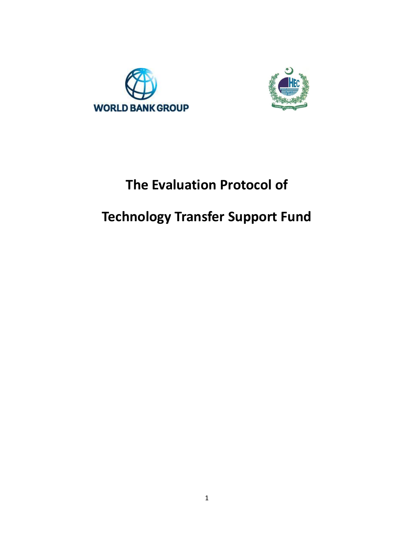



# **The Evaluation Protocol of**

# **Technology Transfer Support Fund**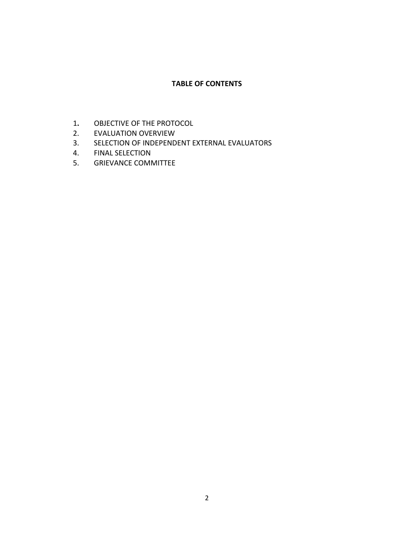# **TABLE OF CONTENTS**

- 1**.** OBJECTIVE OF THE PROTOCOL
- 2. EVALUATION OVERVIEW
- 3. SELECTION OF INDEPENDENT EXTERNAL EVALUATORS
- 4. FINAL SELECTION
- 5. GRIEVANCE COMMITTEE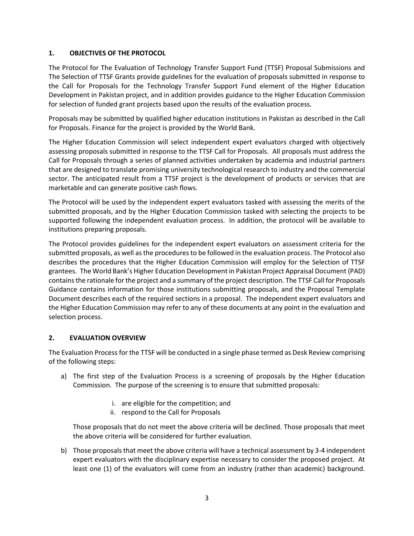# **1. OBJECTIVES OF THE PROTOCOL**

The Protocol for The Evaluation of Technology Transfer Support Fund (TTSF) Proposal Submissions and The Selection of TTSF Grants provide guidelines for the evaluation of proposals submitted in response to the Call for Proposals for the Technology Transfer Support Fund element of the Higher Education Development in Pakistan project, and in addition provides guidance to the Higher Education Commission for selection of funded grant projects based upon the results of the evaluation process.

Proposals may be submitted by qualified higher education institutions in Pakistan as described in the Call for Proposals. Finance for the project is provided by the World Bank.

The Higher Education Commission will select independent expert evaluators charged with objectively assessing proposals submitted in response to the TTSF Call for Proposals. All proposals must address the Call for Proposals through a series of planned activities undertaken by academia and industrial partners that are designed to translate promising university technological research to industry and the commercial sector. The anticipated result from a TTSF project is the development of products or services that are marketable and can generate positive cash flows.

The Protocol will be used by the independent expert evaluators tasked with assessing the merits of the submitted proposals, and by the Higher Education Commission tasked with selecting the projects to be supported following the independent evaluation process. In addition, the protocol will be available to institutions preparing proposals.

The Protocol provides guidelines for the independent expert evaluators on assessment criteria for the submitted proposals, as well as the procedures to be followed in the evaluation process. The Protocol also describes the procedures that the Higher Education Commission will employ for the Selection of TTSF grantees. The World Bank's Higher Education Development in Pakistan Project Appraisal Document (PAD) contains the rationale for the project and a summary of the project description. The TTSF Call for Proposals Guidance contains information for those institutions submitting proposals, and the Proposal Template Document describes each of the required sections in a proposal. The independent expert evaluators and the Higher Education Commission may refer to any of these documents at any point in the evaluation and selection process.

## **2. EVALUATION OVERVIEW**

The Evaluation Process for the TTSF will be conducted in a single phase termed as Desk Review comprising of the following steps:

- a) The first step of the Evaluation Process is a screening of proposals by the Higher Education Commission. The purpose of the screening is to ensure that submitted proposals:
	- i. are eligible for the competition; and
	- ii. respond to the Call for Proposals

Those proposals that do not meet the above criteria will be declined. Those proposals that meet the above criteria will be considered for further evaluation.

b) Those proposals that meet the above criteria will have a technical assessment by 3-4 independent expert evaluators with the disciplinary expertise necessary to consider the proposed project. At least one (1) of the evaluators will come from an industry (rather than academic) background.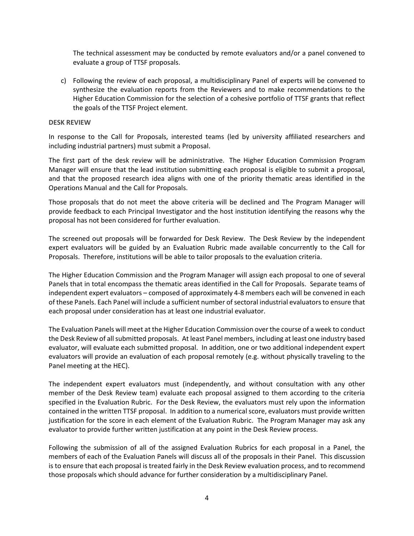The technical assessment may be conducted by remote evaluators and/or a panel convened to evaluate a group of TTSF proposals.

c) Following the review of each proposal, a multidisciplinary Panel of experts will be convened to synthesize the evaluation reports from the Reviewers and to make recommendations to the Higher Education Commission for the selection of a cohesive portfolio of TTSF grants that reflect the goals of the TTSF Project element.

#### **DESK REVIEW**

In response to the Call for Proposals, interested teams (led by university affiliated researchers and including industrial partners) must submit a Proposal.

The first part of the desk review will be administrative. The Higher Education Commission Program Manager will ensure that the lead institution submitting each proposal is eligible to submit a proposal, and that the proposed research idea aligns with one of the priority thematic areas identified in the Operations Manual and the Call for Proposals.

Those proposals that do not meet the above criteria will be declined and The Program Manager will provide feedback to each Principal Investigator and the host institution identifying the reasons why the proposal has not been considered for further evaluation.

The screened out proposals will be forwarded for Desk Review. The Desk Review by the independent expert evaluators will be guided by an Evaluation Rubric made available concurrently to the Call for Proposals. Therefore, institutions will be able to tailor proposals to the evaluation criteria.

The Higher Education Commission and the Program Manager will assign each proposal to one of several Panels that in total encompass the thematic areas identified in the Call for Proposals. Separate teams of independent expert evaluators – composed of approximately 4-8 members each will be convened in each of these Panels. Each Panel will include a sufficient number of sectoral industrial evaluators to ensure that each proposal under consideration has at least one industrial evaluator.

The Evaluation Panels will meet at the Higher Education Commission over the course of a week to conduct the Desk Review of all submitted proposals. At least Panel members, including at least one industry based evaluator, will evaluate each submitted proposal. In addition, one or two additional independent expert evaluators will provide an evaluation of each proposal remotely (e.g. without physically traveling to the Panel meeting at the HEC).

The independent expert evaluators must (independently, and without consultation with any other member of the Desk Review team) evaluate each proposal assigned to them according to the criteria specified in the Evaluation Rubric. For the Desk Review, the evaluators must rely upon the information contained in the written TTSF proposal. In addition to a numerical score, evaluators must provide written justification for the score in each element of the Evaluation Rubric. The Program Manager may ask any evaluator to provide further written justification at any point in the Desk Review process.

Following the submission of all of the assigned Evaluation Rubrics for each proposal in a Panel, the members of each of the Evaluation Panels will discuss all of the proposals in their Panel. This discussion is to ensure that each proposal is treated fairly in the Desk Review evaluation process, and to recommend those proposals which should advance for further consideration by a multidisciplinary Panel.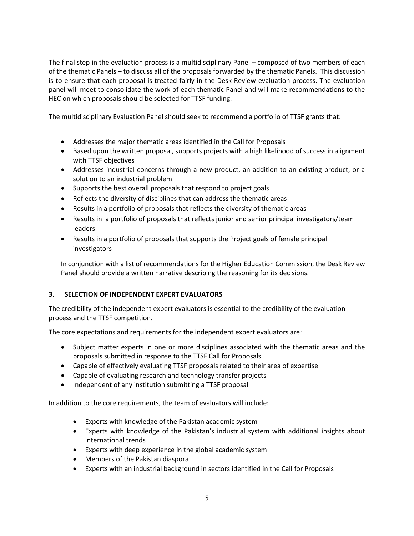The final step in the evaluation process is a multidisciplinary Panel – composed of two members of each of the thematic Panels – to discuss all of the proposals forwarded by the thematic Panels. This discussion is to ensure that each proposal is treated fairly in the Desk Review evaluation process. The evaluation panel will meet to consolidate the work of each thematic Panel and will make recommendations to the HEC on which proposals should be selected for TTSF funding.

The multidisciplinary Evaluation Panel should seek to recommend a portfolio of TTSF grants that:

- Addresses the major thematic areas identified in the Call for Proposals
- Based upon the written proposal, supports projects with a high likelihood of success in alignment with TTSF objectives
- Addresses industrial concerns through a new product, an addition to an existing product, or a solution to an industrial problem
- Supports the best overall proposals that respond to project goals
- Reflects the diversity of disciplines that can address the thematic areas
- Results in a portfolio of proposals that reflects the diversity of thematic areas
- Results in a portfolio of proposals that reflects junior and senior principal investigators/team leaders
- Results in a portfolio of proposals that supports the Project goals of female principal investigators

In conjunction with a list of recommendations for the Higher Education Commission, the Desk Review Panel should provide a written narrative describing the reasoning for its decisions.

## **3. SELECTION OF INDEPENDENT EXPERT EVALUATORS**

The credibility of the independent expert evaluators is essential to the credibility of the evaluation process and the TTSF competition.

The core expectations and requirements for the independent expert evaluators are:

- Subject matter experts in one or more disciplines associated with the thematic areas and the proposals submitted in response to the TTSF Call for Proposals
- Capable of effectively evaluating TTSF proposals related to their area of expertise
- Capable of evaluating research and technology transfer projects
- Independent of any institution submitting a TTSF proposal

In addition to the core requirements, the team of evaluators will include:

- Experts with knowledge of the Pakistan academic system
- Experts with knowledge of the Pakistan's industrial system with additional insights about international trends
- Experts with deep experience in the global academic system
- Members of the Pakistan diaspora
- Experts with an industrial background in sectors identified in the Call for Proposals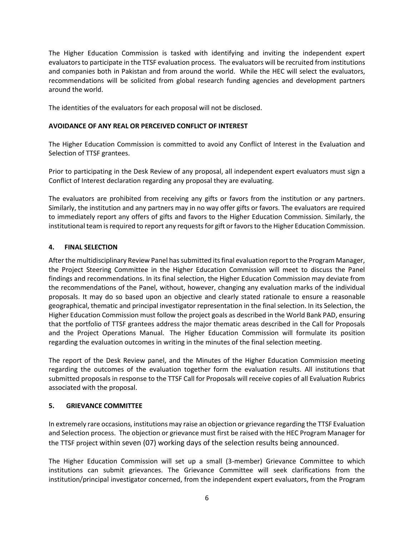The Higher Education Commission is tasked with identifying and inviting the independent expert evaluators to participate in the TTSF evaluation process. The evaluators will be recruited from institutions and companies both in Pakistan and from around the world. While the HEC will select the evaluators, recommendations will be solicited from global research funding agencies and development partners around the world.

The identities of the evaluators for each proposal will not be disclosed.

# **AVOIDANCE OF ANY REAL OR PERCEIVED CONFLICT OF INTEREST**

The Higher Education Commission is committed to avoid any Conflict of Interest in the Evaluation and Selection of TTSF grantees.

Prior to participating in the Desk Review of any proposal, all independent expert evaluators must sign a Conflict of Interest declaration regarding any proposal they are evaluating.

The evaluators are prohibited from receiving any gifts or favors from the institution or any partners. Similarly, the institution and any partners may in no way offer gifts or favors. The evaluators are required to immediately report any offers of gifts and favors to the Higher Education Commission. Similarly, the institutional team is required to report any requests for gift or favors to the Higher Education Commission.

# **4. FINAL SELECTION**

After the multidisciplinary Review Panel has submitted its final evaluation report to the Program Manager, the Project Steering Committee in the Higher Education Commission will meet to discuss the Panel findings and recommendations. In its final selection, the Higher Education Commission may deviate from the recommendations of the Panel, without, however, changing any evaluation marks of the individual proposals. It may do so based upon an objective and clearly stated rationale to ensure a reasonable geographical, thematic and principal investigator representation in the final selection. In its Selection, the Higher Education Commission must follow the project goals as described in the World Bank PAD, ensuring that the portfolio of TTSF grantees address the major thematic areas described in the Call for Proposals and the Project Operations Manual. The Higher Education Commission will formulate its position regarding the evaluation outcomes in writing in the minutes of the final selection meeting.

The report of the Desk Review panel, and the Minutes of the Higher Education Commission meeting regarding the outcomes of the evaluation together form the evaluation results. All institutions that submitted proposals in response to the TTSF Call for Proposals will receive copies of all Evaluation Rubrics associated with the proposal.

## **5. GRIEVANCE COMMITTEE**

In extremely rare occasions, institutions may raise an objection or grievance regarding the TTSF Evaluation and Selection process. The objection or grievance must first be raised with the HEC Program Manager for the TTSF project within seven (07) working days of the selection results being announced.

The Higher Education Commission will set up a small (3-member) Grievance Committee to which institutions can submit grievances. The Grievance Committee will seek clarifications from the institution/principal investigator concerned, from the independent expert evaluators, from the Program